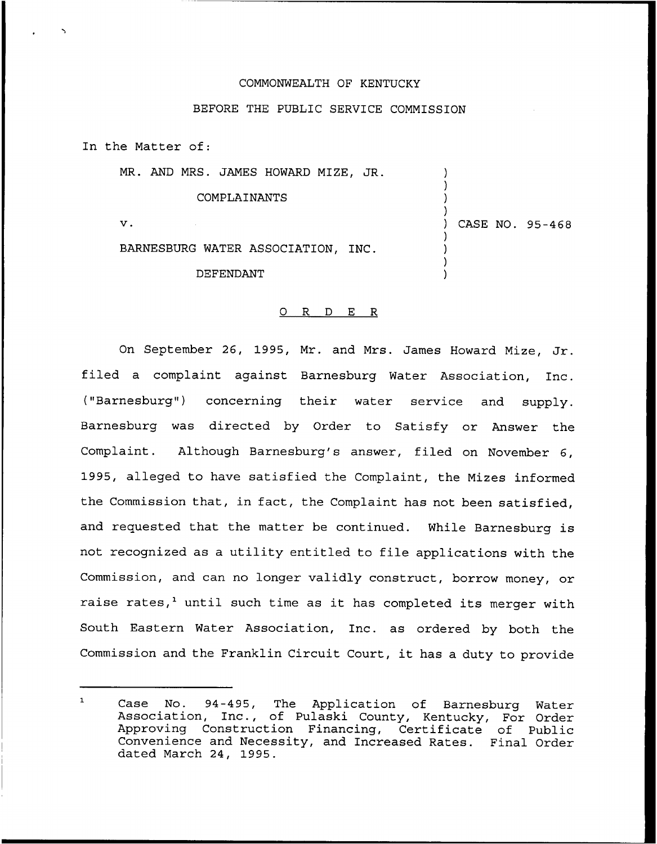## COMMONWEALTH OF KENTUCKY

## BEFORE THE PUBLIC SERVICE COMMISSION

In the Matter of:

MR. AND MRS. JAMES HOWARD MIZE, JR.

## COMPLAINANTS

 $\mathbf v$ .

) CASE NO. 95-468

) ) ) )

) ) ) )

BARNESBURG WATER ASSOCIATION, INC.

DEFENDANT

## 0 R <sup>D</sup> E R

On September 26, 1995, Mr. and Mrs. James Howard Mize, Jr. filed <sup>a</sup> complaint against Barnesburg Water Association, Inc. ("Barnesburg") concerning their water service and supply. Barnesburg was directed by Order to Satisfy or Answer the Complaint. Although Barnesburg's answer, filed on November 6, 1995, alleged to have satisfied the Complaint, the Mizes informed the Commission that, in fact, the Complaint has not been satisfied, and requested that the matter be continued. While Barnesburg is not recognized as a utility entitled to file applications with the Commission, and can no longer validly construct, borrow money, or raise rates,<sup>1</sup> until such time as it has completed its merger with South Eastern Water Association, Inc. as ordered by both the Commission and the Franklin Circuit Court, it has <sup>a</sup> duty to provide

 $\mathbf{1}$ Case No. 94-495, The Application of Barnesburg Water Association, Inc., of Pulaski County, Kentucky, For Order Approving Construction Financing, Certificate of Public Convenience and Necessity, and Increased Rates. Final Order dated March 24, 1995.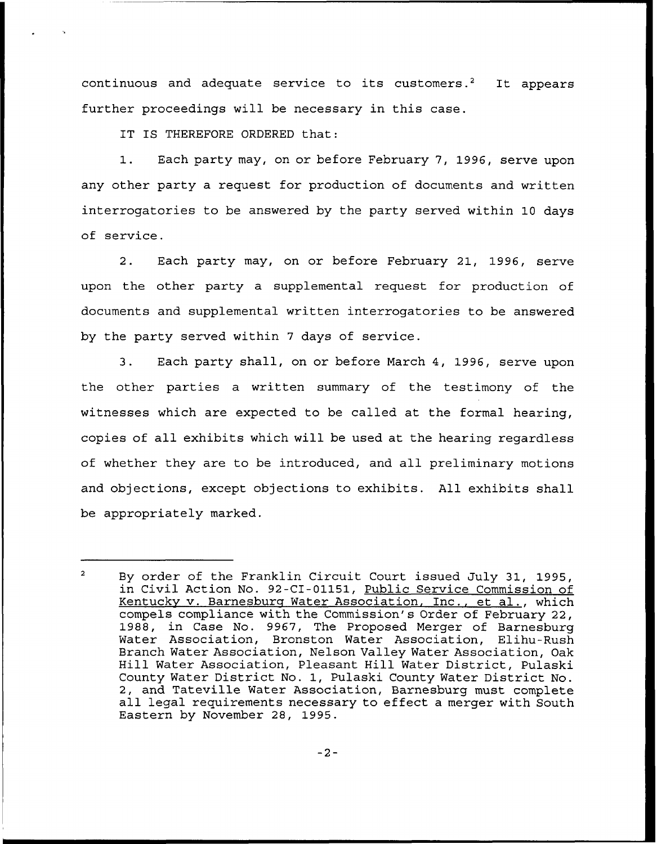continuous and adequate service to its customers.<sup>2</sup> It appears further proceedings will be necessary in this case.

IT IS THEREFORE ORDERED that:

1. Each party may, on or before February 7, 1996, serve upon any other party a request for production of documents and written interrogatories to be answered by the party served within 10 days of service.

2. Each party may, on or before February 21, 1996, serve upon the other party a supplemental request for production of documents and supplemental written interrogatories to be answered by the party served within <sup>7</sup> days of service.

3. Each party shall, on or before March 4, 1996, serve upon the other parties a written summary of the testimony of the witnesses which are expected to be called at the formal hearing, copies of all exhibits which will be used at the hearing regardless of whether they are to be introduced, and all preliminary motions and objections, except objections to exhibits. All exhibits shall be appropriately marked.

 $\overline{a}$ By order of the Franklin Circuit Court issued July 31, 1995, in Civil Action No. 92-CI-01151, Public Service Commission of Kentucky v. Barnesburg Water Association, Inc., et al., which compels compliance with the Commission's Order of February 22, 1988, in Case No. 9967, The Proposed Merger of Barnesburg Water Association, Bronston Water Association, Elihu-Rush Branch Water Association, Nelson Valley Water Association, Oak Hill Water Association, Pleasant Hill Water District, Pulaski County Water District No. 1, Pulaski County Water District No. 2, and Tateville Water Association, Barnesburg must complete all legal requirements necessary to effect <sup>a</sup> merger with South Eastern by November 28, 1995.